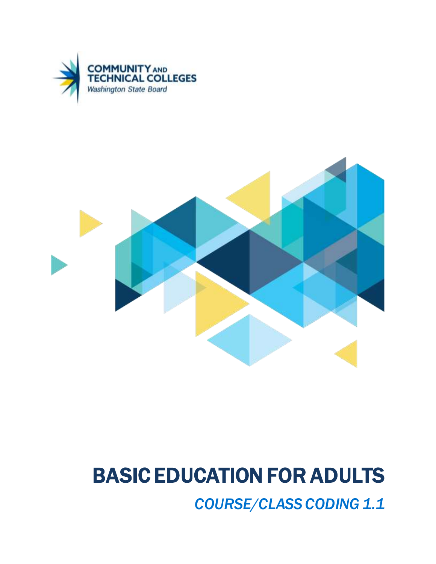



# BASIC EDUCATION FOR ADULTS

*COURSE/CLASS CODING 1.1*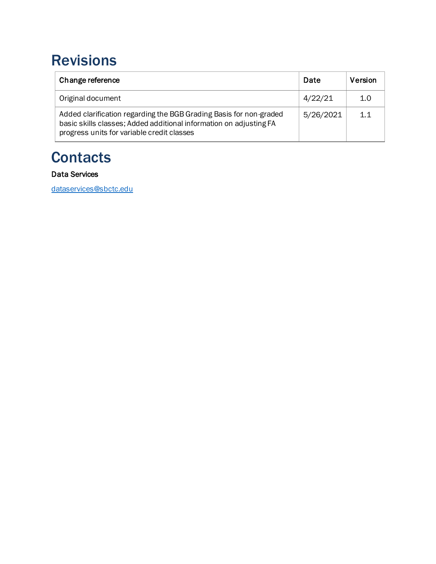### <span id="page-1-0"></span>Revisions

| Change reference                                                                                                                                                                       | Date      | Version |
|----------------------------------------------------------------------------------------------------------------------------------------------------------------------------------------|-----------|---------|
| Original document                                                                                                                                                                      | 4/22/21   | 1.0     |
| Added clarification regarding the BGB Grading Basis for non-graded<br>basic skills classes; Added additional information on adjusting FA<br>progress units for variable credit classes | 5/26/2021 | 1.1     |

### <span id="page-1-1"></span>**Contacts**

#### Data Services

[dataservices@sbctc.edu](mailto:dataservices@sbctc.edu)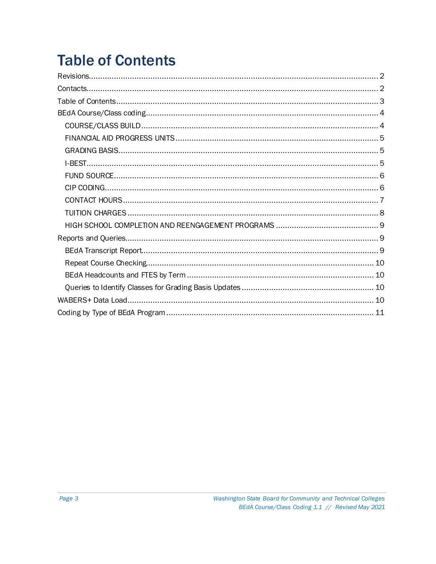## <span id="page-2-0"></span>**Table of Contents**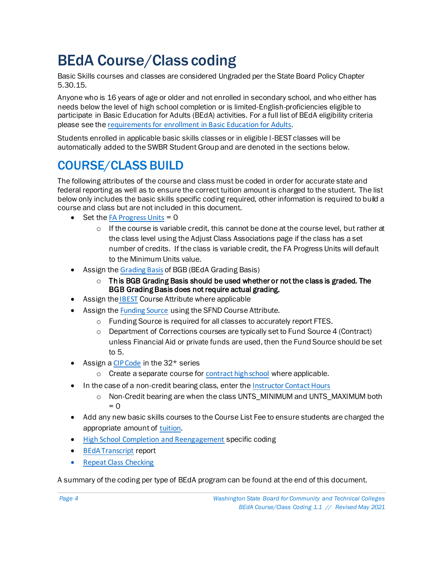### <span id="page-3-0"></span>BEdA Course/Class coding

Basic Skills courses and classes are considered Ungraded per the State Board Policy Chapter 5.30.15.

Anyone who is 16 years of age or older and not enrolled in secondary school, and who either has needs below the level of high school completion or is limited-English-proficiencies eligible to participate in Basic Education for Adults (BEdA) activities. For a full list of BEdA eligibility criteria please see the [requirements for enrollment in Basic Education for Adults](https://www.sbctc.edu/colleges-staff/programs-services/basic-education-for-adults/beda-handbook/eligible-students.aspx).

Students enrolled in applicable basic skills classes or in eligible I-BEST classes will be automatically added to the SWBR Student Group and are denoted in the sections below.

#### <span id="page-3-1"></span>COURSE/CLASS BUILD

The following attributes of the course and class must be coded in order for accurate state and federal reporting as well as to ensure the correct tuition amount is charged to the student. The list below only includes the basic skills specific coding required, other information is required to build a course and class but are not included in this document.

- $\bullet$  Set the FA Progress Units = 0
	- $\circ$  If the course is variable credit, this cannot be done at the course level, but rather at the class level using the Adjust Class Associations page if the class has a set number of credits. If the class is variable credit, the FA Progress Units will default to the Minimum Units value.
- Assign the [Grading Basis](#page-4-1) of BGB (BEdA Grading Basis)
	- $\circ$  This BGB Grading Basis should be used whether or not the class is graded. The BGB Grading Basis does not require actual grading.
- Assign the **[IBEST](#page-4-2)** Course Attribute where applicable
- Assign the [Funding Source](#page-5-0) using the SFND Course Attribute.
	- o Funding Source is required for all classes to accurately report FTES.
	- $\circ$  Department of Corrections courses are typically set to Fund Source 4 (Contract) unless Financial Aid or private funds are used, then the Fund Source should be set to 5.
- Assign a [CIP Code](#page-5-1) in the 32<sup>\*</sup> series
	- $\circ$  Create a separate course for [contract high school](#page-5-0) where applicable.
- In the case of a non-credit bearing class, enter the [Instructor Contact Hours](#page-6-1)
	- Non-Credit bearing are when the class UNTS\_MINIMUM and UNTS\_MAXIMUM both  $= 0$
- Add any new basic skills courses to the Course List Fee to ensure students are charged the appropriate amount of [tuition](#page-6-1).
- [High School Completion and Reengagement](#page-8-0) specific coding
- [BEdA Transcript](#page-8-1) report
- [Repeat Class Checking](#page-9-0)

A summary of the coding per type of BEdA program can be found at the end of this document.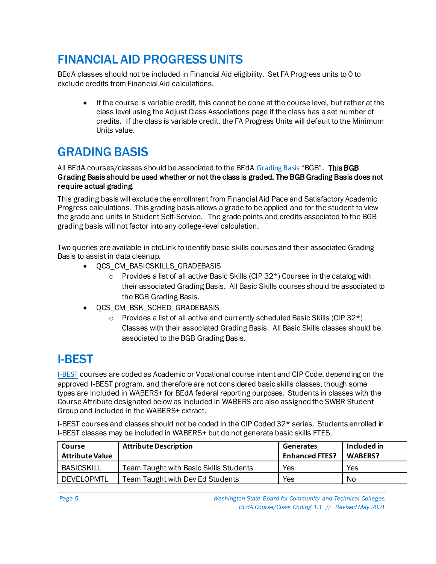### <span id="page-4-0"></span>FINANCIAL AID PROGRESS UNITS

BEdA classes should not be included in Financial Aid eligibility. Set FA Progress units to 0 to exclude credits from Financial Aid calculations.

If the course is variable credit, this cannot be done at the course level, but rather at the class level using the Adjust Class Associations page if the class has a set number of credits. If the class is variable credit, the FA Progress Units will default to the Minimum Units value.

#### <span id="page-4-1"></span>GRADING BASIS

All BEdA courses/classes should be associated to the BEdA [Grading Basis](file:///C:/Users/lsager/AppData/Local/Microsoft/Windows/INetCache/Content.Outlook/GLLHQ3B4/9.2%20Maintaining%20the%20Grade%20Scheme%20Table%20|%209.2%20CS%20-%20Academic%20Structure%20|%20ctcLink%20Reference%20Center) "BGB". This BGB Grading Basis should be used whether or not the class is graded. The BGB Grading Basis does not require actual grading.

This grading basis will exclude the enrollment from Financial Aid Pace and Satisfactory Academic Progress calculations. This grading basis allows a grade to be applied and for the student to view the grade and units in Student Self-Service. The grade points and credits associated to the BGB grading basis will not factor into any college-level calculation.

Two queries are available in ctcLink to identify basic skills courses and their associated Grading Basis to assist in data cleanup.

- QCS\_CM\_BASICSKILLS\_GRADEBASIS
	- $\circ$  Provides a list of all active Basic Skills (CIP 32<sup>\*</sup>) Courses in the catalog with their associated Grading Basis. All Basic Skills courses should be associated to the BGB Grading Basis.
- QCS\_CM\_BSK\_SCHED\_GRADEBASIS
	- $\circ$  Provides a list of all active and currently scheduled Basic Skills (CIP 32<sup>\*</sup>) Classes with their associated Grading Basis. All Basic Skills classes should be associated to the BGB Grading Basis.

#### <span id="page-4-2"></span>I-BEST

**[I-BEST](http://ctclinkreferencecenter.ctclink.us/m/79555/l/1014762-9-2-peoplesoft-coding-for-basic-skills)** courses are coded as Academic or Vocational course intent and CIP Code, depending on the approved I-BEST program, and therefore are not considered basic skills classes, though some types are included in WABERS+ for BEdA federal reporting purposes. Students in classes with the Course Attribute designated below as included in WABERS are also assigned the SWBR Student Group and included in the WABERS+ extract.

I-BEST courses and classes should not be coded in the CIP Coded 32\* series. Students enrolled in I-BEST classes may be included in WABERS+ but do not generate basic skills FTES.

| Course<br><b>Attribute Value</b> | <b>Attribute Description</b>           | <b>Generates</b><br><b>Enhanced FTES?</b> | Included in<br><b>WABERS?</b> |
|----------------------------------|----------------------------------------|-------------------------------------------|-------------------------------|
| <b>BASICSKILL</b>                | Team Taught with Basic Skills Students | Yes                                       | Yes                           |
| DEVELOPMTL                       | Team Taught with Dev Ed Students       | Yes                                       | No                            |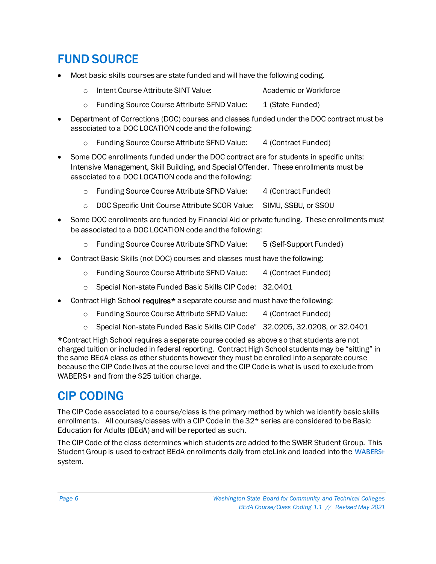#### <span id="page-5-0"></span>FUND SOURCE

- Most basic skills courses are state funded and will have the following coding.
	- o Intent Course Attribute SINT Value: Academic or Workforce
	- o Funding Source Course Attribute SFND Value: 1 (State Funded)
- Department of Corrections (DOC) courses and classes funded under the DOC contract must be associated to a DOC LOCATION code and the following:
	- o Funding Source Course Attribute SFND Value: 4 (Contract Funded)
- Some DOC enrollments funded under the DOC contract are for students in specific units: Intensive Management, Skill Building, and Special Offender. These enrollments must be associated to a DOC LOCATION code and the following:
	- o Funding Source Course Attribute SFND Value: 4 (Contract Funded)
	- o DOC Specific Unit Course Attribute SCOR Value: SIMU, SSBU, or SSOU
- Some DOC enrollments are funded by Financial Aid or private funding. These enrollments must be associated to a DOC LOCATION code and the following:
	- o Funding Source Course Attribute SFND Value: 5 (Self-Support Funded)
- Contract Basic Skills (not DOC) courses and classes must have the following:
	- o Funding Source Course Attribute SFND Value: 4 (Contract Funded)
	- o Special Non-state Funded Basic Skills CIP Code: 32.0401
- Contract High School requires<sup>\*</sup> a separate course and must have the following:
	- o Funding Source Course Attribute SFND Value: 4 (Contract Funded)
	- o Special Non-state Funded Basic Skills CIP Code" 32.0205, 32.0208, or 32.0401

\*Contract High School requires a separate course coded as above so that students are not charged tuition or included in federal reporting. Contract High School students may be "sitting" in the same BEdA class as other students however they must be enrolled into a separate course because the CIP Code lives at the course level and the CIP Code is what is used to exclude from WABERS+ and from the \$25 tuition charge.

#### <span id="page-5-1"></span>CIP CODING

The CIP Code associated to a course/class is the primary method by which we identify basic skills enrollments. All courses/classes with a CIP Code in the 32\* series are considered to be Basic Education for Adults (BEdA) and will be reported as such.

The CIP Code of the class determines which students are added to the SWBR Student Group. This Student Group is used to extract BEdA enrollments daily from ctcLink and loaded into the [WABERS+](https://www.sbctc.edu/colleges-staff/programs-services/basic-education-for-adults/wabers.aspx) system.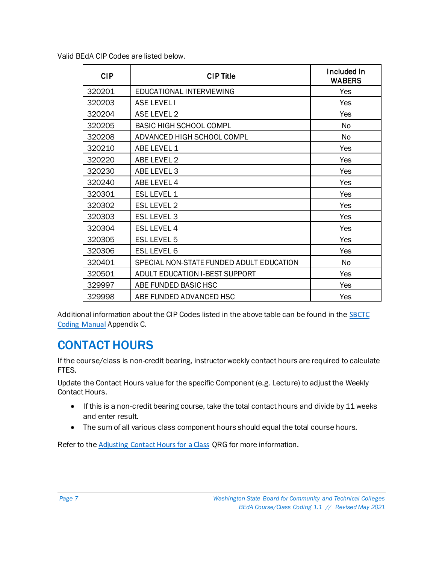Valid BEdA CIP Codes are listed below.

| <b>CIP</b> | <b>CIP Title</b>                         | Included In<br><b>WABERS</b> |
|------------|------------------------------------------|------------------------------|
| 320201     | EDUCATIONAL INTERVIEWING                 | Yes                          |
| 320203     | <b>ASE LEVEL I</b>                       | Yes                          |
| 320204     | ASE LEVEL 2                              | Yes                          |
| 320205     | <b>BASIC HIGH SCHOOL COMPL</b>           | No                           |
| 320208     | ADVANCED HIGH SCHOOL COMPL               | No                           |
| 320210     | ABE LEVEL 1                              | Yes                          |
| 320220     | ABE LEVEL 2                              | Yes                          |
| 320230     | ABE LEVEL 3                              | Yes                          |
| 320240     | ABE LEVEL 4                              | Yes                          |
| 320301     | <b>ESL LEVEL 1</b>                       | Yes                          |
| 320302     | <b>ESL LEVEL 2</b>                       | Yes                          |
| 320303     | <b>ESL LEVEL 3</b>                       | Yes                          |
| 320304     | <b>ESL LEVEL 4</b>                       | Yes                          |
| 320305     | ESL LEVEL 5                              | Yes                          |
| 320306     | <b>ESL LEVEL 6</b>                       | Yes                          |
| 320401     | SPECIAL NON-STATE FUNDED ADULT EDUCATION | No                           |
| 320501     | ADULT EDUCATION I-BEST SUPPORT           | Yes                          |
| 329997     | ABE FUNDED BASIC HSC                     | Yes                          |
| 329998     | ABE FUNDED ADVANCED HSC                  | Yes                          |

Additional information about the CIP Codes listed in the above table can be found in the SBCTC [Coding Manual](https://www.sbctc.edu/colleges-staff/data-services/coding-and-reporting-guidelines.aspx) Appendix C.

#### <span id="page-6-0"></span>CONTACT HOURS

If the course/class is non-credit bearing, instructor weekly contact hours are required to calculate FTES.

Update the Contact Hours value for the specific Component (e.g. Lecture) to adjust the Weekly Contact Hours.

- If this is a non-credit bearing course, take the total contact hours and divide by 11 weeks and enter result.
- <span id="page-6-1"></span>• The sum of all various class component hours should equal the total course hours.

Refer to the [Adjusting Contact Hours for a Class](http://ctclinkreferencecenter.ctclink.us/m/79430/l/1011390-9-2-adjusting-contact-hours-for-a-class) QRG for more information.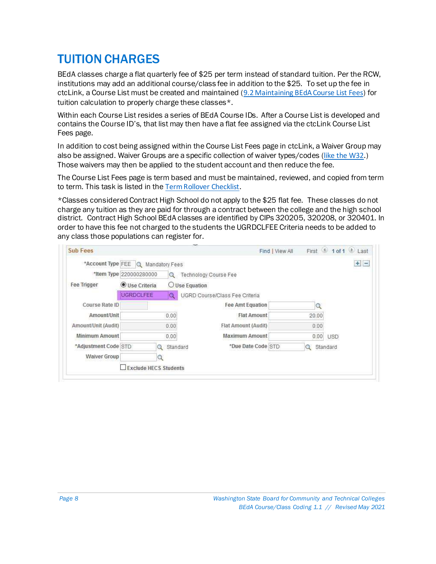#### <span id="page-7-0"></span>TUITION CHARGES

BEdA classes charge a flat quarterly fee of \$25 per term instead of standard tuition. Per the RCW, institutions may add an additional course/class fee in addition to the \$25. To set up the fee in ctcLink, a Course List must be created and maintained ([9.2 Maintaining BEdA Course List Fees](http://ctclinkreferencecenter.ctclink.us/m/92555/l/949138-9-2-maintaining-beda-course-list-fees)) for tuition calculation to properly charge these classes\*.

Within each Course List resides a series of BEdA Course IDs. After a Course List is developed and contains the Course ID's, that list may then have a flat fee assigned via the ctcLink Course List Fees page.

In addition to cost being assigned within the Course List Fees page in ctcLink, a Waiver Group may also be assigned. Waiver Groups are a specific collection of waiver types/codes ([like the W32](https://www.sbctc.edu/colleges-staff/programs-services/tuition-fees/tuition-waivers/abe-esl-ged-waiver.aspx).) Those waivers may then be applied to the student account and then reduce the fee.

The Course List Fees page is term based and must be maintained, reviewed, and copied from term to term. This task is listed in the [Term Rollover Checklist](http://ctclinkreferencecenter.ctclink.us/m/92925/l/928036-9-2-term-rollover-checklist).

\*Classes considered Contract High School do not apply to the \$25 flat fee. These classes do not charge any tuition as they are paid for through a contract between the college and the high school district. Contract High School BEdA classes are identified by CIPs 320205, 320208, or 320401. In order to have this fee not charged to the students the UGRDCLFEE Criteria needs to be added to any class those populations can register for.

|                      | *Account Type FEE Q Mandatory Fees |                      |                                       |               | First 1 of 1 Last<br><b>H</b> |
|----------------------|------------------------------------|----------------------|---------------------------------------|---------------|-------------------------------|
|                      | *Item Type 220000280000            | Q                    | Technology Course Fee                 |               |                               |
| Fee Trigger          | <b>O</b> Use Criteria              |                      | $O$ Use Equation                      |               |                               |
|                      | <b>UGRDCLFEE</b>                   | $\mathbf Q$          | <b>UGRD Course/Class Fee Criteria</b> |               |                               |
| Course Rate ID       |                                    |                      | <b>Fee Amt Equation</b>               | Q             |                               |
| Amount/Unit          |                                    | 0.00                 | <b>Flat Amount</b>                    | 20.00         |                               |
| Amount/Unit (Audit)  |                                    | 0.00                 | Flat Amount (Audit)                   | 0.00          |                               |
| Minimum Amount       |                                    | 0.00                 | <b>Maximum Amount</b>                 | $0.00$ USD    |                               |
| *Adjustment Code STD |                                    | Standard<br>$\alpha$ | *Due Date Code STD                    | Standard<br>Q |                               |
| <b>Waiver Group</b>  |                                    |                      |                                       |               |                               |
|                      | <b>Exclude HECS Students</b>       |                      |                                       |               |                               |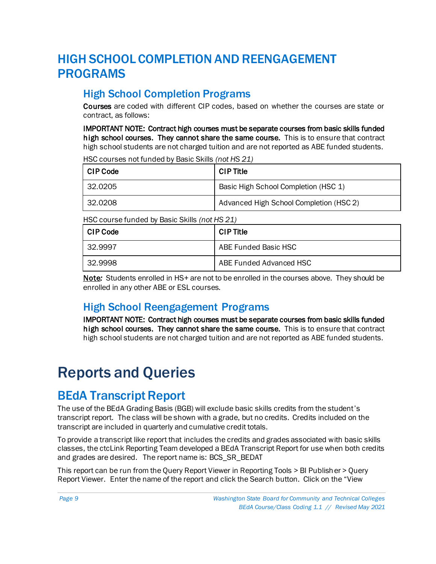#### <span id="page-8-0"></span>HIGH SCHOOL COMPLETION AND REENGAGEMENT PROGRAMS

#### High School Completion Programs

Courses are coded with different CIP codes, based on whether the courses are state or contract, as follows:

IMPORTANT NOTE: Contract high courses must be separate courses from basic skills funded high school courses. They cannot share the same course. This is to ensure that contract high school students are not charged tuition and are not reported as ABE funded students.

HSC courses not funded by Basic Skills *(not HS 21)*

| CIP Code | <b>CIP Title</b>                        |
|----------|-----------------------------------------|
| 32.0205  | Basic High School Completion (HSC 1)    |
| 32.0208  | Advanced High School Completion (HSC 2) |

HSC course funded by Basic Skills *(not HS 21)*

| ∣CIP Code | CIP Title               |
|-----------|-------------------------|
| 32.9997   | ABE Funded Basic HSC    |
| 32.9998   | ABE Funded Advanced HSC |

Note*:* Students enrolled in HS+ are not to be enrolled in the courses above. They should be enrolled in any other ABE or ESL courses.

#### High School Reengagement Programs

IMPORTANT NOTE: Contract high courses must be separate courses from basic skills funded high school courses. They cannot share the same course. This is to ensure that contract high school students are not charged tuition and are not reported as ABE funded students.

### <span id="page-8-1"></span>Reports and Queries

#### <span id="page-8-2"></span>BEdA Transcript Report

The use of the BEdA Grading Basis (BGB) will exclude basic skills credits from the student's transcript report. The class will be shown with a grade, but no credits. Credits included on the transcript are included in quarterly and cumulative credit totals.

To provide a transcript like report that includes the credits and grades associated with basic skills classes, the ctcLink Reporting Team developed a BEdA Transcript Report for use when both credits and grades are desired. The report name is: BCS\_SR\_BEDAT

This report can be run from the Query Report Viewer in Reporting Tools > BI Publisher > Query Report Viewer. Enter the name of the report and click the Search button. Click on the "View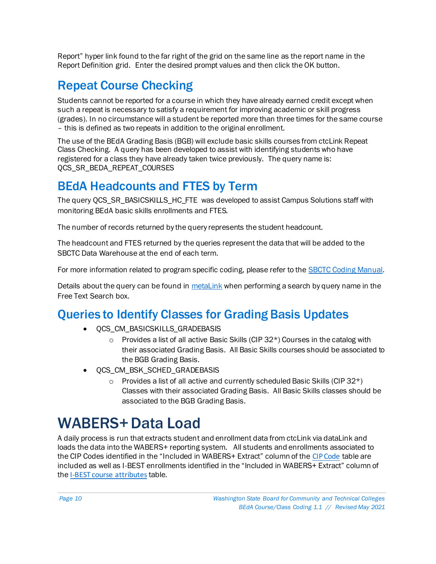Report" hyper link found to the far right of the grid on the same line as the report name in the Report Definition grid. Enter the desired prompt values and then click the OK button.

#### <span id="page-9-0"></span>Repeat Course Checking

Students cannot be reported for a course in which they have already earned credit except when such a repeat is necessary to satisfy a requirement for improving academic or skill progress (grades). In no circumstance will a student be reported more than three times for the same course – this is defined as two repeats in addition to the original enrollment.

The use of the BEdA Grading Basis (BGB) will exclude basic skills courses from ctcLink Repeat Class Checking. A query has been developed to assist with identifying students who have registered for a class they have already taken twice previously. The query name is: QCS\_SR\_BEDA\_REPEAT\_COURSES

#### <span id="page-9-1"></span>BEdA Headcounts and FTES by Term

The query QCS\_SR\_BASICSKILLS\_HC\_FTE\_was developed to assist Campus Solutions staff with monitoring BEdA basic skills enrollments and FTES.

The number of records returned by the query represents the student headcount.

The headcount and FTES returned by the queries represent the data that will be added to the SBCTC Data Warehouse at the end of each term.

For more information related to program specific coding, please refer to the **SBCTC Coding Manual**.

Details about the query can be found i[n metaLink](https://dataservicesmetalink.sbctc.edu/) when performing a search by query name in the Free Text Search box.

#### <span id="page-9-2"></span>Queries to Identify Classes for Grading Basis Updates

- OCS CM\_BASICSKILLS\_GRADEBASIS
	- $\circ$  Provides a list of all active Basic Skills (CIP 32\*) Courses in the catalog with their associated Grading Basis. All Basic Skills courses should be associated to the BGB Grading Basis.
- OCS CM\_BSK\_SCHED\_GRADEBASIS
	- Provides a list of all active and currently scheduled Basic Skills (CIP  $32^*$ ) Classes with their associated Grading Basis. All Basic Skills classes should be associated to the BGB Grading Basis.

### <span id="page-9-3"></span>WABERS+ Data Load

A daily process is run that extracts student and enrollment data from ctcLink via dataLink and loads the data into the WABERS+ reporting system. All students and enrollments associated to the CIP Codes identified in the "Included in WABERS+ Extract" column of the [CIP Code](#page-5-1) table are included as well as I-BEST enrollments identified in the "Included in WABERS+ Extract" column of the [I-BEST course attributes](#page-4-2) table.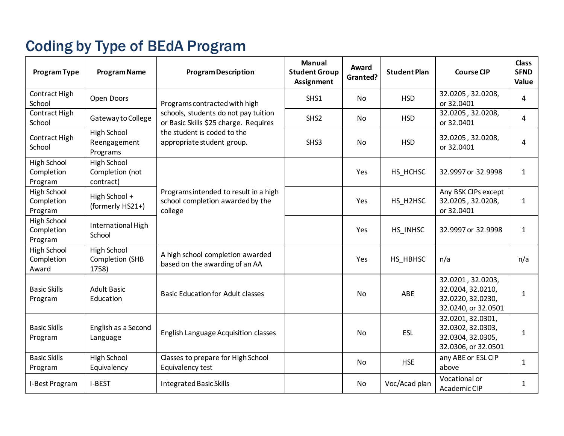### Coding by Type of BEdA Program

<span id="page-10-0"></span>

| <b>Program Type</b>                         | <b>Program Name</b>                            | <b>Program Description</b>                                                           | <b>Manual</b><br><b>Student Group</b><br>Assignment | Award<br>Granted? | <b>Student Plan</b> | <b>Course CIP</b>                                                                  | <b>Class</b><br><b>SFND</b><br>Value |
|---------------------------------------------|------------------------------------------------|--------------------------------------------------------------------------------------|-----------------------------------------------------|-------------------|---------------------|------------------------------------------------------------------------------------|--------------------------------------|
| Contract High<br>School                     | Open Doors                                     | Programs contracted with high                                                        | SHS1                                                | No                | <b>HSD</b>          | 32.0205, 32.0208,<br>or 32.0401                                                    | 4                                    |
| Contract High<br>School                     | Gateway to College                             | schools, students do not pay tuition<br>or Basic Skills \$25 charge. Requires        | SHS <sub>2</sub>                                    | No.               | <b>HSD</b>          | 32.0205, 32.0208,<br>or 32.0401                                                    | 4                                    |
| Contract High<br>School                     | <b>High School</b><br>Reengagement<br>Programs | the student is coded to the<br>appropriate student group.                            | SHS3                                                | <b>No</b>         | <b>HSD</b>          | 32.0205, 32.0208,<br>or 32.0401                                                    | 4                                    |
| <b>High School</b><br>Completion<br>Program | High School<br>Completion (not<br>contract)    |                                                                                      |                                                     | Yes               | HS_HCHSC            | 32.9997 or 32.9998                                                                 | $\mathbf{1}$                         |
| High School<br>Completion<br>Program        | High School +<br>(formerly HS21+)              | Programs intended to result in a high<br>school completion awarded by the<br>college |                                                     | Yes               | HS H2HSC            | Any BSK CIPs except<br>32.0205, 32.0208,<br>or 32.0401                             | $\mathbf{1}$                         |
| <b>High School</b><br>Completion<br>Program | International High<br>School                   |                                                                                      |                                                     | Yes               | HS INHSC            | 32.9997 or 32.9998                                                                 | $\mathbf{1}$                         |
| High School<br>Completion<br>Award          | High School<br>Completion (SHB<br>1758)        | A high school completion awarded<br>based on the awarding of an AA                   |                                                     | Yes               | HS_HBHSC            | n/a                                                                                | n/a                                  |
| <b>Basic Skills</b><br>Program              | <b>Adult Basic</b><br>Education                | <b>Basic Education for Adult classes</b>                                             |                                                     | <b>No</b>         | ABE                 | 32.0201, 32.0203,<br>32.0204, 32.0210,<br>32.0220, 32.0230,<br>32.0240, or 32.0501 | 1                                    |
| <b>Basic Skills</b><br>Program              | English as a Second<br>Language                | <b>English Language Acquisition classes</b>                                          |                                                     | No                | ESL                 | 32.0201, 32.0301,<br>32.0302, 32.0303,<br>32.0304, 32.0305,<br>32.0306, or 32.0501 | $\mathbf{1}$                         |
| <b>Basic Skills</b><br>Program              | High School<br>Equivalency                     | Classes to prepare for High School<br>Equivalency test                               |                                                     | No                | <b>HSE</b>          | any ABE or ESL CIP<br>above                                                        | $\mathbf{1}$                         |
| I-Best Program                              | I-BEST                                         | <b>Integrated Basic Skills</b>                                                       |                                                     | No                | Voc/Acad plan       | Vocational or<br>Academic CIP                                                      | 1                                    |